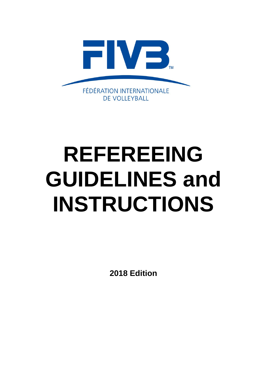

# **REFEREEING GUIDELINES and INSTRUCTIONS**

**2018 Edition**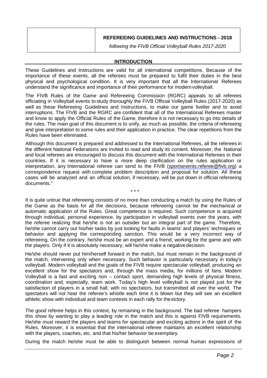| <b>REFEREEING GUIDELINES AND INSTRUCTIONS - 2018</b>   |
|--------------------------------------------------------|
| following the FIVB Official Volleyball Rules 2017-2020 |

## **INTRODUCTION**

These Guidelines and Instructions are valid for all international competitions. Because of the importance of these events, all the referees must be prepared to fulfil their duties in the best physical and psychological condition. It is very important that all the International Referees understand the significance and importance of their performance for modernvolleyball.

The FIVB Rules of the Game and Refereeing Commission (RGRC) appeals to all referees officiating in Volleyball events to study thoroughly the FIVB Official Volleyball Rules (2017-2020) as well as these Refereeing Guidelines and Instructions, to make our game livelier and to avoid interruptions. The FIVB and the RGRC are confident that all of the International Referees master and know to apply the Official Rules of the Game, therefore it is not necessary to go into details of the rules. The main goal of this document is to unify, as much as possible, the criteria of refereeing and give interpretation to some rules and their application in practice. The clear repetitions from the Rules have been eliminated.

Although this document is prepared and addressed to the International Referees, all the referees in the different National Federations are invited to read and study its content. Moreover, the National and local referees are encouraged to discuss this document with the International Referees in their countries. If it is necessary to have a more deep clarification on the rules application or interpretation, any International referee can send to the FIVB [\(sportsevents.referee@fivb.org\)](mailto:sportsevents.referee@fivb.org) a correspondence request with complete problem description and proposal for solution. All these cases will be analyzed and an official solution, if necessary, will be put down in official refereeing documents."

\* \* \*

It is quite untrue that refereeing consists of no more than conducting a match by using the Rules of the Game as the basis for all the decisions, because refereeing cannot be the mechanical or automatic application of the Rules. Great competence is required. Such competence is acquired through individual, personal experience, by participation in volleyball events over the years, with the referee realizing that he/she is not an outsider but an integral part of the game. Therefore, he/she cannot carry out his/her tasks by just looking for faults in teams' and players' techniques or behavior and applying the corresponding sanction. This would be a very incorrect way of refereeing. On the contrary, he/she must be an expert and a friend, working for the game and with the players. Only if it is absolutely necessary, will he/she make a negativedecision.

He/she should never put him/herself forward in the match, but must remain in the background of the match, intervening only when necessary. Such behavior is particularly necessary in today's volleyball. Modern volleyball and the goals of the FIVB require spectacular volleyball, producing an excellent show for the spectators and, through the mass media, for millions of fans. Modern Volleyball is a fast and exciting non – contact sport, demanding high levels of physical fitness, coordination and, especially, team work. Today's high level volleyball is not played just for the satisfaction of players in a small hall, with no spectators, but transmitted all over the world. The spectators will not hear the referee's whistle each time it is blown but they will see an excellent athletic show with individual and team contests in each rally for thevictory.

The good referee helps in this context, by remaining in the background. The bad referee hampers this show by wanting to play a leading role in the match and this is against FIVB requirements. He/she must reward the players and teams for spectacular and exciting actions in the spirit of the Rules. Moreover, it is essential that the international referee maintains an excellent relationship with the players, coaches, etc. and that his/her behavior be exemplary.

During the match he/she must be able to distinguish between normal human expressions of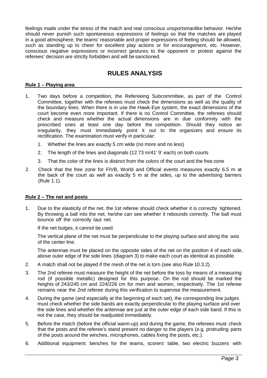feelings made under the stress of the match and real conscious unsportsmanlike behavior. He/she should never punish such spontaneous expressions of feelings so that the matches are played in a good atmosphere; the teams' reasonable and proper expressions of feeling should be allowed, such as standing up to cheer for excellent play actions or for encouragement, etc. However, conscious negative expressions or incorrect gestures to the opponent or protest against the referees' decision are strictly forbidden and will be sanctioned.

# **RULES ANALYSIS**

#### **Rule 1 – Playing area**

- 1. Two days before a competition, the Refereeing Subcommittee, as part of the Control Committee, together with the referees must check the dimensions as well as the quality of the boundary lines. When there is in use the Hawk-Eye system, the exact dimensions of the court become even more important. If there is no Control Committee, the referees should check and measure whether the actual dimensions are in due conformity with the prescribed ones at least one day before the competition. Should they notice an irregularity, they must immediately point it out to the organizers and ensure its rectification. The examination must verify in particular:
	- 1. Whether the lines are exactly 5 cm wide (no more and no less)
	- 2. The length of the lines and diagonals (12.73 m/41' 9' each) on both courts
	- 3. That the color of the lines is distinct from the colors of the court and the free zone
- 2. Check that the free zone for FIVB, World and Official events measures exactly 6.5 m at the back of the court as well as exactly 5 m at the sides, up to the advertising barriers (Rule 1.1).

## **Rule 2 – The net and posts**

1. Due to the elasticity of the net, the 1st referee should check whether it is correctly tightened. By throwing a ball into the net, he/she can see whether it rebounds correctly. The ball must bounce off the correctly taut net.

If the net bulges, it cannot be used.

The vertical plane of the net must be perpendicular to the playing surface and along the axis of the center line.

The antennae must be placed on the opposite sides of the net on the position 4 of each side, above outer edge of the side lines (diagram 3) to make each court as identical as possible.

- 2. A match shall not be played if the mesh of the net is torn (see also Rule 10.3.2).
- 3. The 2nd referee must measure the height of the net before the toss by means of a measuring rod (if possible metallic) designed for this purpose. On the rod should be marked the heights of 243/245 cm and 224/226 cm for men and women, respectively. The 1st referee remains near the 2nd referee during this verification to supervise the measurement.
- 4. During the game (and especially at the beginning of each set), the corresponding line judges must check whether the side bands are exactly perpendicular to the playing surface and over the side lines and whether the antennae are just at the outer edge of each side band. If this is not the case, they should be readjusted immediately.
- 5. Before the match (before the official warm-up) and during the game, the referees must check that the posts and the referee's stand present no danger to the players (e.g. protruding parts of the posts around the winches, microphones, cables fixing the posts, etc.).
- 6. Additional equipment: benches for the teams, scorers' table, two electric buzzers with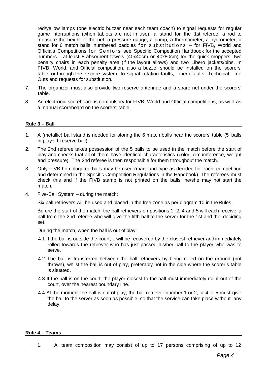red/yellow lamps (one electric buzzer near each team coach) to signal requests for regular game interruptions (when tablets are not in use), a stand for the 1st referee, a rod to measure the height of the net, a pressure gauge, a pump, a thermometer, a hygrometer, a stand for 6 match balls, numbered paddles for substitutions – for FIVB, World and Officials Competitions for Seniors see Specific Competition Handbook for the accepted numbers – at least 8 absorbent towels (40x40cm or 40x80cm) for the quick moppers, two penalty chairs in each penalty area (if the layout allows) and two Libero jackets/bibs. In FIVB, World, and Official competition, also a buzzer should be installed on the scorers' table, or through the e-score system, to signal rotation faults, Libero faults, Technical Time Outs and requests for substitution.

- 7. The organizer must also provide two reserve antennae and a spare net under the scorers' table.
- 8. An electronic scoreboard is compulsory for FIVB, World and Official competitions, as well as a manual scoreboard on the scorers' table.

## **Rule 3 – Ball**

- 1. A (metallic) ball stand is needed for storing the 6 match balls near the scorers' table (5 balls in play+ 1 reserve ball).
- 2. The 2nd referee takes possession of the 5 balls to be used in the match before the start of play and checks that all of them have identical characteristics (color, circumference, weight and pressure). The 2nd referee is then responsible for them throughout the match.
- 3. Only FIVB homologated balls may be used (mark and type as decided for each competition and determined in the Specific Competition Regulations in the Handbook). The referees must check this and if the FIVB stamp is not printed on the balls, he/she may not start the match.
- 4. Five-Ball System during the match:

Six ball retrievers will be used and placed in the free zone as per diagram 10 in the Rules.

Before the start of the match, the ball retrievers on positions 1, 2, 4 and 5 will each receive a ball from the 2nd referee who will give the fifth ball to the server for the 1st and the deciding set.

During the match, when the ball is out of play:

- 4.1 If the ball is outside the court, it will be recovered by the closest retriever and immediately rolled towards the retriever who has just passed his/her ball to the player who was to serve.
- 4.2 The ball is transferred between the ball retrievers by being rolled on the ground (not thrown), whilst the ball is out of play, preferably not in the side where the scorer's table is situated.
- 4.3 If the ball is on the court, the player closest to the ball must immediately roll it out of the court, over the nearest boundary line.
- 4.4 At the moment the ball is out of play, the ball retriever number 1 or 2, or 4 or 5 must give the ball to the server as soon as possible, so that the service can take place without any delay.

## **Rule 4 – Teams**

1. A team composition may consist of up to 17 persons comprising of up to 12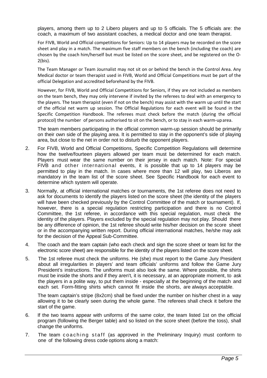players, among them up to 2 Libero players and up to 5 officials. The 5 officials are: the coach, a maximum of two assistant coaches, a medical doctor and one team therapist.

For FIVB, World and Official competitions for Seniors: Up to 14 players may be recorded on the score sheet and play in a match. The maximum five staff members on the bench (including the coach) are chosen by the coach him/herself but must be listed on the score sheet, and be registered on the O-2(bis).

The Team Manager or Team Journalist may not sit on or behind the bench in the Control Area. Any Medical doctor or team therapist used in FIVB, World and Official Competitions must be part of the official Delegation and accredited beforehand by the FIVB.

However, for FIVB, World and Official Competitions for Seniors, if they are not included as members on the team bench, they may only intervene if invited by the referees to deal with an emergency to the players. The team therapist (even if not on the bench) may assist with the warm up until the start of the official net warm up session. The Official Regulations for each event will be found in the Specific Competition Handbook. The referees must check before the match (during the official protocol) the number of persons authorised to sit on the bench, or to stay in each warm-uparea.

The team members participating in the official common warm-up session should be primarily on their own side of the playing area. It is permitted to stay in the opponent's side of playing area, but close to the net in order not to disturb the opponent players.

- 2. For FIVB, World and Official Competitions, Specific Competition Regulations will determine how the twelve/fourteen players allowed per team must be determined for each match. Players must wear the same number on their jersey in each match. Note: For special FIVB and other international events, it is possible that up to 14 players may be permitted to play in the match. In cases where more than 12 will play, two Liberos are mandatory in the team list of the score sheet. See Specific Handbook for each event to determine which system will operate.
- 3. Normally, at official international matches or tournaments, the 1st referee does not need to ask for documents to identify the players listed on the score sheet (the identity of the players will have been checked previously by the Control Committee of the match or tournament). If, however, there is a special regulation restricting participation and there is no Control Committee, the 1st referee, in accordance with this special regulation, must check the identity of the players. Players excluded by the special regulation may not play. Should there be any difference of opinion, the 1st referee should write his/her decision on the score sheet or in the accompanying written report. During official international matches, he/she may ask for the decision of the Appeal Sub-Committee.
- 4. The coach and the team captain (who each check and sign the score sheet or team list for the electronic score sheet) are responsible for the identity of the players listed on the score sheet.
- 5. The 1st referee must check the uniforms. He (she) must report to the Game Jury President about all irregularities in players' and team officials' uniforms and follow the Game Jury President's instructions. The uniforms must also look the same. Where possible, the shirts must be inside the shorts and if they aren't, it is necessary, at an appropriate moment, to ask the players in a polite way, to put them inside - especially at the beginning of the match and each set. Form-fitting shirts which cannot fit inside the shorts, are always acceptable.

The team captain's stripe (8x2cm) shall be fixed under the number on his/her chest in a way allowing it to be clearly seen during the whole game. The referees shall check it before the start of the game.

- 6. If the two teams appear with uniforms of the same color, the team listed 1st on the official program (following the Berger table) and so listed on the score sheet (before the toss), shall change the uniforms.
- 7. The team coaching staff (as approved in the Preliminary Inquiry) must conform to one of the following dress code options along a match: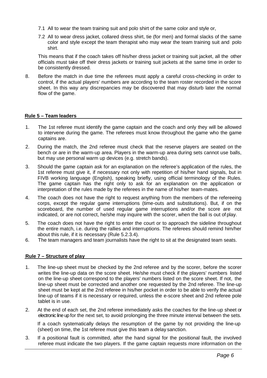- 7.1 All to wear the team training suit and polo shirt of the same color and style or,
- 7.2 All to wear dress jacket, collared dress shirt, tie (for men) and formal slacks of the same color and style except the team therapist who may wear the team training suit and polo shirt.

This means that if the coach takes off his/her dress jacket or training suit jacket, all the other officials must take off their dress jackets or training suit jackets at the same time in order to be consistently dressed.

8. Before the match in due time the referees must apply a careful cross-checking in order to control, if the actual players' numbers are according to the team roster recorded in the score sheet. In this way any discrepancies may be discovered that may disturb later the normal flow of the game.

#### **Rule 5 – Team leaders**

- 1. The 1st referee must identify the game captain and the coach and only they will be allowed to intervene during the game. The referees must know throughout the game who the game captains are.
- 2. During the match, the 2nd referee must check that the reserve players are seated on the bench or are in the warm-up area. Players in the warm-up area during sets cannot use balls, but may use personal warm up devices (e.g. stretch bands).
- 3. Should the game captain ask for an explanation on the referee's application of the rules, the 1st referee must give it, if necessary not only with repetition of his/her hand signals, but in FIVB working language (English), speaking briefly, using official terminology of the Rules. The game captain has the right only to ask for an explanation on the application or interpretation of the rules made by the referees in the name of his/her team-mates.
- 4. The coach does not have the right to request anything from the members of the refereeing corps, except the regular game interruptions (time-outs and substitutions). But, if on the scoreboard, the number of used regular game interruptions and/or the score are not indicated, or are not correct, he/she may inquire with the scorer, when the ball is out of play.
- 5. The coach does not have the right to enter the court or to approach the sideline throughout the entire match, i.e. during the rallies and interruptions. The referees should remind him/her about this rule, if it is necessary (Rule 5.2.3.4).
- 6. The team managers and team journalists have the right to sit at the designated team seats.

#### **Rule 7 – Structure of play**

- 1. The line-up sheet must be checked by the 2nd referee and by the scorer, before the scorer writes the line-up data on the score sheet. He/she must check if the players' numbers listed on the line-up sheet correspond to the players' numbers listed on the score sheet. If not, the line-up sheet must be corrected and another one requested by the 2nd referee. The line-up sheet must be kept at the 2nd referee in his/her pocket in order to be able to verify the actual line-up of teams if it is necessary or required, unless the e-score sheet and 2nd referee pole tablet is in use.
- 2. At the end of each set, the 2nd referee immediately asks the coaches for the line-up sheet or electronic line up for the next set, to avoid prolonging the three minute interval between the sets.

If a coach systematically delays the resumption of the game by not providing the line-up (sheet) on time, the 1st referee must give this team a delay sanction.

3. If a positional fault is committed, after the hand signal for the positional fault, the involved referee must indicate the two players. If the game captain requests more information on the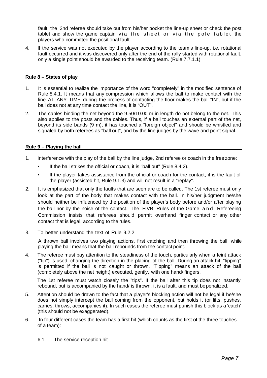fault, the 2nd referee should take out from his/her pocket the line-up sheet or check the post tablet and show the game captain via the sheet or via the pole tablet the players who committed the positional fault.

4. If the service was not executed by the player according to the team's line-up, i.e. rotational fault occurred and it was discovered only after the end of the rally started with rotational fault, only a single point should be awarded to the receiving team. (Rule 7.7.1.1)

## **Rule 8 – States of play**

- 1. It is essential to realize the importance of the word "completely" in the modified sentence of Rule 8.4.1. It means that any compression which allows the ball to make contact with the line AT ANY TIME during the process of contacting the floor makes the ball "IN", but if the ball does not at any time contact the line, it is "OUT".
- 2. The cables binding the net beyond the 9.50/10.00 m in length do not belong to the net. This also applies to the posts and the cables. Thus, if a ball touches an external part of the net, beyond its side bands (9 m), it has touched a "foreign object" and should be whistled and signaled by both referees as "ball out", and by the line judges by the wave and point signal.

## **Rule 9 – Playing the ball**

- 1. Interference with the play of the ball by the line judge, 2nd referee or coach in the free zone:
	- If the ball strikes the official or coach, it is "ball out" (Rule 8.4.2).
	- If the player takes assistance from the official or coach for the contact, it is the fault of the player (assisted hit, Rule 9.1.3) and will not result in a "replay".
- 2. It is emphasized that only the faults that are seen are to be called. The 1st referee must only look at the part of the body that makes contact with the ball. In his/her judgment he/she should neither be influenced by the position of the player's body before and/or after playing the ball nor by the noise of the contact. The FIVB Rules of the Game and Refereeing Commission insists that referees should permit overhand finger contact or any other contact that is legal, according to the rules.
- 3. To better understand the text of Rule 9.2.2:

A thrown ball involves two playing actions, first catching and then throwing the ball, while playing the ball means that the ball rebounds from the contact point.

4. The referee must pay attention to the steadiness of the touch, particularly when a feint attack ("tip") is used, changing the direction in the placing of the ball. During an attack hit, "tipping" is permitted if the ball is not caught or thrown. "Tipping" means an attack of the ball (completely above the net height) executed, gently, with one hand/ fingers.

The 1st referee must watch closely the "tips". If the ball after this tip does not instantly rebound, but is accompanied by the hand/ is thrown, it is a fault, and must bepenalized.

- 5. Attention should be drawn to the fact that a player's blocking action will not be legal if he/she does not simply intercept the ball coming from the opponent, but holds it (or lifts, pushes, carries, throws, accompanies it). In such cases the referee must punish this block as a 'catch' (this should not be exaggerated).
- 6. In four different cases the team has a first hit (which counts as the first of the three touches of a team):
	- 6.1 The service reception hit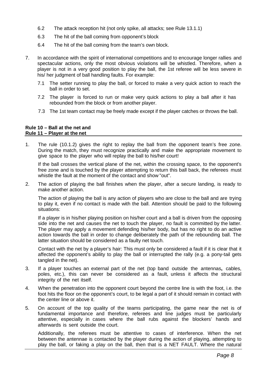- 6.2 The attack reception hit (not only spike, all attacks; see Rule 13.1.1)
- 6.3 The hit of the ball coming from opponent's block
- 6.4 The hit of the ball coming from the team's own block.
- 7. In accordance with the spirit of international competitions and to encourage longer rallies and spectacular actions, only the most obvious violations will be whistled. Therefore, when a player is not in a very good position to play the ball, the 1st referee will be less severe in his/ her judgment of ball handling faults. For example:
	- 7.1 The setter running to play the ball, or forced to make a very quick action to reach the ball in order to set.
	- 7.2 The player is forced to run or make very quick actions to play a ball after it has rebounded from the block or from another player.
	- 7.3 The 1st team contact may be freely made except if the player catches or throws the ball.

#### **Rule 10 – Ball at the net and Rule 11 – Player at the net**

1. The rule (10.1.2) gives the right to replay the ball from the opponent team's free zone. During the match, they must recognize practically and make the appropriate movement to give space to the player who will replay the ball to his/her court!

If the ball crosses the vertical plane of the net, within the crossing space, to the opponent's free zone and is touched by the player attempting to return this ball back, the referees must whistle the fault at the moment of the contact and show "out".

2. The action of playing the ball finishes when the player, after a secure landing, is ready to make another action.

The action of playing the ball is any action of players who are close to the ball and are trying to play it, even if no contact is made with the ball. Attention should be paid to the following situations:

If a player is in his/her playing position on his/her court and a ball is driven from the opposing side into the net and causes the net to touch the player, no fault is committed by the latter. The player may apply a movement defending his/her body, but has no right to do an active action towards the ball in order to change deliberately the path of the rebounding ball. The latter situation should be considered as a faulty net touch.

Contact with the net by a player's hair: This must only be considered a fault if it is clear that it affected the opponent's ability to play the ball or interrupted the rally (e.g. a pony-tail gets tangled in the net).

- 3. If a player touches an external part of the net (top band outside the antennas**,** cables, poles, etc.), this can never be considered as a fault, unless it affects the structural integrity of the net itself.
- 4. When the penetration into the opponent court beyond the centre line is with the foot, i.e. the foot hits the floor on the opponent's court, to be legal a part of it should remain in contact with the center line or above it.
- 5. On account of the top quality of the teams participating, the game near the net is of fundamental importance and therefore, referees and line judges must be particularly attentive, especially in cases where the ball rubs against the blockers' hands and afterwards is sent outside the court.

Additionally, the referees must be attentive to cases of interference. When the net between the antennae is contacted by the player during the action of playing, attempting to play the ball, or faking a play on the ball, then that is a NET FAULT. Where the natural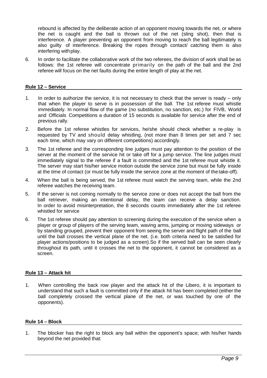rebound is affected by the deliberate action of an opponent moving towards the net, or where the net is caught and the ball is thrown out of the net (sling shot), then that is interference. A player preventing an opponent from moving to reach the ball legitimately is also guilty of interference. Breaking the ropes through contact/ catching them is also interfering withplay.

6. In order to facilitate the collaborative work of the two referees, the division of work shall be as follows: the 1st referee will concentrate primarily on the path of the ball and the 2nd referee will focus on the net faults during the entire length of play at the net.

## **Rule 12 – Service**

- 1. In order to authorize the service, it is not necessary to check that the server is ready only that when the player to serve is in possession of the ball. The 1st referee must whistle immediately. In normal flow of the game (no substitution, no sanction, etc.) for FIVB, World and Officials Competitions a duration of 15 seconds is available for service after the end of previous rally.
- 2. Before the 1st referee whistles for services, he/she should check whether a re-play is requested by TV and should delay whistling, (not more than 8 times per set and 7 sec each time, which may vary on different competitions) accordingly.
- 3. The 1st referee and the corresponding line judges must pay attention to the position of the server at the moment of the service hit or take off for a jump service. The line judges must immediately signal to the referee if a fault is committed and the 1st referee must whistle it. The server may start his/her service motion outside the service zone but must be fully inside at the time of contact (or must be fully inside the service zone at the moment of thetake-off).
- 4. When the ball is being served, the 1st referee must watch the serving team, while the 2nd referee watches the receiving team.
- 5. If the server is not coming normally to the service zone or does not accept the ball from the ball retriever, making an intentional delay, the team can receive a delay sanction. In order to avoid misinterpretation, the 8 seconds counts immediately after the 1st referee whistled for service
- 6. The 1st referee should pay attention to screening during the execution of the service when a player or group of players of the serving team, waving arms, jumping or moving sideways or by standing grouped, prevent their opponent from seeing the server and flight path of the ball until the ball crosses the vertical plane of the net. (i.e. both criteria need to be satisfied for player actions/positions to be judged as a screen).So if the served ball can be seen clearly throughout its path, until it crosses the net to the opponent, it cannot be considered as a screen.

## **Rule 13 – Attack hit**

1. When controlling the back row player and the attack hit of the Libero, it is important to understand that such a fault is committed only if the attack hit has been completed (either the ball completely crossed the vertical plane of the net, or was touched by one of the opponents).

## **Rule 14 – Block**

1. The blocker has the right to block any ball within the opponent's space; with his/her hands beyond the net provided that: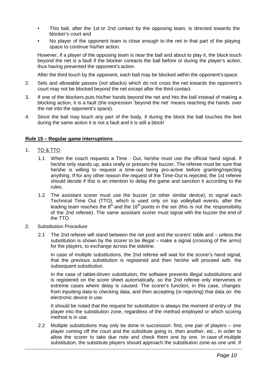- This ball, after the 1st or 2nd contact by the opposing team, is directed towards the blocker's court and
- No player of the opponent team is close enough to the net in that part of the playing space to continue his/her action.

However, if a player of the opposing team is near the ball and about to play it, the block touch beyond the net is a fault if the blocker contacts the ball before or during the player's action, thus having prevented the opponent's action.

After the third touch by the opponent, each ball may be blocked within the opponent'sspace.

- 2. Sets and allowable passes (*not* attacks) which do not cross the net towards the opponent's court may not be blocked beyond the net except after the third contact.
- 3. If one of the blockers puts his/her hands beyond the net and hits the ball instead of making a blocking action, it is a fault (the expression 'beyond the net' means reaching the hands over the net into the opponent's space).
- 4. Since the ball may touch any part of the body, if during the block the ball touches the feet during the same action it is not a fault and it is still a block!

#### **Rule 15 – Regular game interruptions**

- 1. TO & TTO
	- 1.1 When the coach requests a Time Out, he/she must use the official hand signal. If he/she only stands up, asks orally or presses the buzzer**.** The referee must be sure that he/she is willing to request a time-out being pro-active before granting/rejecting anything. If for any other reason the request of the Time-Out is rejected, the 1st referee should decide if this is an intention to delay the game and sanction it according to the rules.
	- 1.2 The assistant scorer must use the buzzer (or other similar device); to signal each Technical Time Out (TTO), which is used only on top volleyball events, after the leading team reaches the  $8<sup>th</sup>$  and the 16<sup>th</sup> points in the set (this is not the responsibility of the 2nd referee). The same assistant scorer must signal with the buzzer the end of the TTO.
- 2. Substitution Procedure
	- 2.1 The 2nd referee will stand between the net post and the scorers' table and unless the substitution is shown by the scorer to be illegal – make a signal (crossing of the arms) for the players, to exchange across the sideline.

In case of multiple substitutions, the 2nd referee will wait for the scorer's hand signal, that the previous substitution is registered and then he/she will proceed with the subsequent substitution.

In the case of tablet-driven substitution, the software prevents illegal substitutions and is registered on the score sheet automatically, so the 2nd referee only intervenes in extreme cases where delay is caused. The scorer's function, in this case, changes from inputting data to checking data, and then accepting (or rejecting) that data on the electronic device in use.

It should be noted that the request for substitution is always the moment of entry of the player into the substitution zone, regardless of the method employed or which scoring method is in use.

2.2 Multiple substitutions may only be done in succession: first, one pair of players – one player coming off the court and the substitute going in, then another, etc., in order to allow the scorer to take due note and check them one by one. In case of multiple substitution, the substitute players should approach the substitution zone as one unit. If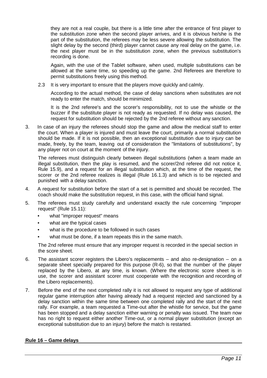they are not a real couple, but there is a little time after the entrance of first player to the substitution zone when the second player arrives, and it is obvious he/she is the part of the substitution, the referees may be less severe allowing the substitution. The slight delay by the second (third) player cannot cause any real delay on the game, i.e. the next player must be in the substitution zone, when the previous substitution's recording is done.

Again, with the use of the Tablet software, when used, multiple substitutions can be allowed at the same time, so speeding up the game. 2nd Referees are therefore to permit substitutions freely using this method.

2.3 It is very important to ensure that the players move quickly and calmly.

According to the actual method, the case of delay sanctions when substitutes are not ready to enter the match, should be minimized.

It is the 2nd referee's and the scorer's responsibility, not to use the whistle or the buzzer if the substitute player is not ready as requested. If no delay was caused, the request for substitution should be rejected by the 2nd referee without any sanction.

3. In case of an injury the referees should stop the game and allow the medical staff to enter the court. When a player is injured and must leave the court, primarily a normal substitution should be made. If it is not possible, then an exceptional substitution due to injury can be made, freely, by the team, leaving out of consideration the "limitations of substitutions", by any player not on court at the moment of the injury.

The referees must distinguish clearly between illegal substitutions (when a team made an illegal substitution, then the play is resumed, and the scorer/2nd referee did not notice it, Rule 15.9), and a request for an illegal substitution which, at the time of the request, the scorer or the 2nd referee realizes is illegal (Rule 16.1.3) and which is to be rejected and punished with a delay sanction.

- 4. A request for substitution before the start of a set is permitted and should be recorded. The coach should make the substitution request, in this case, with the official hand signal.
- 5. The referees must study carefully and understand exactly the rule concerning "improper request" (Rule 15.11):
	- what "improper request" means
	- what are the typical cases
	- what is the procedure to be followed in such cases
	- what must be done, if a team repeats this in the same match.

The 2nd referee must ensure that any improper request is recorded in the special section in the score sheet.

- 6. The assistant scorer registers the Libero's replacements and also re-designation on a separate sheet specially prepared for this purpose (R-6), so that the number of the player replaced by the Libero, at any time, is known. (Where the electronic score sheet is in use, the scorer and assistant scorer must cooperate with the recognition and recording of the Libero replacements).
- 7. Before the end of the next completed rally it is not allowed to request any type of additional regular game interruption after having already had a request rejected and sanctioned by a delay sanction within the same time between one completed rally and the start of the next rally. For example, a team requested a Time-out after the whistle for service, but the game has been stopped and a delay sanction either warning or penalty was issued. The team now has no right to request either another Time-out, or a normal player substitution (except an exceptional substitution due to an injury) before the match is restarted.

## **Rule 16 – Game delays**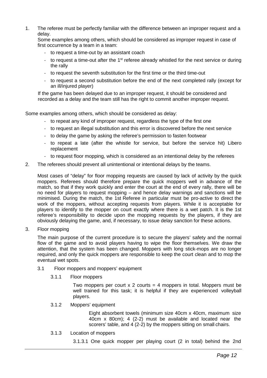1. The referee must be perfectly familiar with the difference between an improper request and a delay.

Some examples among others, which should be considered as improper request in case of first occurrence by a team in a team:

- to request a time-out by an assistant coach
- to request a time-out after the  $1<sup>st</sup>$  referee already whistled for the next service or during the rally
- to request the seventh substitution for the first time or the third time-out
- to request a second substitution before the end of the next completed rally (except for an ill/injured player)

If the game has been delayed due to an improper request, it should be considered and recorded as a delay and the team still has the right to commit another improper request.

Some examples among others, which should be considered as delay:

- to repeat any kind of improper request, regardless the type of the first one
- to request an illegal substitution and this error is discovered before the next service
- to delay the game by asking the referee's permission to fasten footwear
- to repeat a late (after the whistle for service, but before the service hit) Libero replacement
- to request floor mopping, which is considered as an intentional delay by the referees
- 2. The referees should prevent all unintentional or intentional delays by the teams.

Most cases of "delay" for floor mopping requests are caused by lack of activity by the quick moppers. Referees should therefore prepare the quick moppers well in advance of the match, so that if they work quickly and enter the court at the end of every rally, there will be no need for players to request mopping – and hence delay warnings and sanctions will be minimised. During the match, the 1st Referee in particular must be pro-active to direct the work of the moppers, without accepting requests from players. While it is acceptable for players to identify to the mopper on court exactly where there is a wet patch. It is the 1st referee's responsibility to decide upon the mopping requests by the players, if they are obviously delaying the game, and, if necessary, to issue delay sanction for these actions.

3. Floor mopping

The main purpose of the current procedure is to secure the players' safety and the normal flow of the game and to avoid players having to wipe the floor themselves. We draw the attention, that the system has been changed. Moppers with long stick-mops are no longer required, and only the quick moppers are responsible to keep the court clean and to mop the eventual wet spots.

- 3.1 Floor moppers and moppers' equipment
	- 3.1.1 Floor moppers

Two moppers per court  $x$  2 courts = 4 moppers in total. Moppers must be well trained for this task; it is helpful if they are experienced volleyball players.

3.1.2 Moppers' equipment

Eight absorbent towels (minimum size 40cm x 40cm, maximum size 40cm x 80cm); 4 (2-2) must be available and located near the scorers' table, and 4 (2-2) by the moppers sitting on small chairs.

3.1.3 Location of moppers

3.1.3.1 One quick mopper per playing court (2 in total) behind the 2nd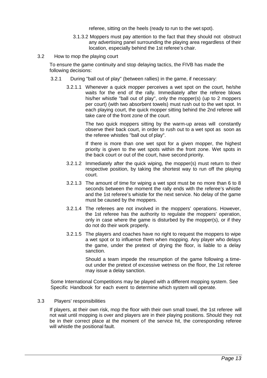referee, sitting on the heels (ready to run to the wet spot).

- 3.1.3.2 Moppers must pay attention to the fact that they should not obstruct any advertising panel surrounding the playing area regardless of their location, especially behind the 1st referee's chair.
- 3.2 How to mop the playing court

To ensure the game continuity and stop delaying tactics, the FIVB has made the following decisions:

- 3.2.1 During "ball out of play" (between rallies) in the game, if necessary:
	- 3.2.1.1 Whenever a quick mopper perceives a wet spot on the court, he/she waits for the end of the rally. Immediately after the referee blows his/her whistle "ball out of play", only the mopper(s) (up to 2 moppers per court) (with two absorbent towels) must rush out to the wet spot. In each playing court, the quick mopper sitting behind the 2nd referee will take care of the front zone of the court.

The two quick moppers sitting by the warm-up areas will constantly observe their back court, in order to rush out to a wet spot as soon as the referee whistles "ball out of play".

If there is more than one wet spot for a given mopper, the highest priority is given to the wet spots within the front zone. Wet spots in the back court or out of the court, have second priority.

- 3.2.1.2 Immediately after the quick wiping, the mopper(s) must return to their respective position, by taking the shortest way to run off the playing court.
- 3.2.1.3 The amount of time for wiping a wet spot must be no more than 6 to 8 seconds between the moment the rally ends with the referee's whistle and the 1st referee's whistle for the next service. No delay of the game must be caused by the moppers.
- 3.2.1.4 The referees are not involved in the moppers' operations. However, the 1st referee has the authority to regulate the moppers' operation, only in case where the game is disturbed by the mopper(s), or if they do not do their work properly.
- 3.2.1.5 The players and coaches have no right to request the moppers to wipe a wet spot or to influence them when mopping. Any player who delays the game, under the pretext of drying the floor, is liable to a delay sanction.

Should a team impede the resumption of the game following a timeout under the pretext of excessive wetness on the floor, the 1st referee may issue a delay sanction.

Some International Competitions may be played with a different mopping system. See Specific Handbook for each event to determine which system will operate.

## 3.3 Players' responsibilities

If players, at their own risk, mop the floor with their own small towel, the 1st referee will not wait until mopping is over and players are in their playing positions. Should they not be in their correct place at the moment of the service hit, the corresponding referee will whistle the positional fault.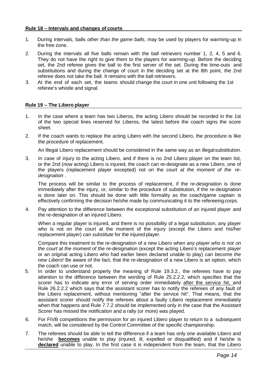#### **Rule 18 – Intervals and changes of courts**

- 1. During intervals, balls *other than the game balls*, may be used by players for warming-up in the free zone.
- 2. During the intervals all five balls remain with the ball retrievers number 1, 2, 4, 5 and 6. They do not have the right to give them to the players for warming-up. Before the deciding set, the 2nd referee gives the ball to the first server of the set. During the time-outs and substitutions and during the change of court in the deciding set at the 8th point, the 2nd referee does not take the ball. It remains with the ball retrievers.
- 3. At the end of each set, the teams should change the court in one unit following the 1st referee's whistle and signal.

## **Rule 19 – The Libero player**

- 1. In the case where a team has two Liberos, the acting Libero should be recorded in the 1st of the two special lines reserved for Liberos, the latest before the coach signs the score sheet.
- 2. If the coach wants to replace the acting Libero with the second Libero, the procedure is like the procedure of replacement.

An illegal Libero replacement should be considered in the same way as an illegalsubstitution.

3. In case of injury to the acting Libero, and if there is no 2nd Libero player on the team list, or the 2nd (now acting) Libero is injured, the coach can re-designate as a new Libero, one of the players (replacement player excepted) not on the court *at the moment of the redesignation* .

The process will be similar to the process of replacement, if the re-designation is done immediately after the injury, or, similar to the procedure of substitution, if the re-designation is done later on. This should be done with little formality as the coach/game captain is effectively confirming the decision he/she made by communicating it to the refereeing corps.

4. Pay attention to the difference between the exceptional substitution of an injured player and the re-designation of an injured Libero.

When a regular player is injured, and there is no possibility of a legal substitution, any player who is not on the court at the moment of the injury (except the Libero and his/her replacement player) *can substitute* for the injured player.

Compare this treatment to the re-designation of a new Libero when *any player who is not on the court at the moment of the re-designation* (except the acting Libero's replacement player or an original acting Libero who had earlier been declared unable to play) *can become the new Libero!* Be aware of the fact, that the re-designation of a new Libero is an option, which the coach can use or not.

- 5. In order to understand properly the meaning of Rule 19.3.2., the referees have to pay attention to the difference between the wording of Rule 25.2.2.2, which specifies that the scorer has to indicate any error of serving order immediately after the service hit, and Rule 26.2.2.2 which says that the assistant scorer has to notify the referees of any fault of the Libero replacement, without mentioning "after the service hit". That means, that the assistant scorer should notify the referees about a faulty Libero replacement immediately when that happens and Rule 7.7.2 should be implemented only in the case that the Assistant Scorer has missed the notification and a rally (or more) was played.
- 6. For FIVB competitions the permission for an injured Libero player to return to a subsequent match, will be considered by the Control Committee of the specific championship.
- 7. The referees should be able to tell the difference if a team has only one available Libero and he/she **becomes** unable to play (injured, ill, expelled or disqualified) and if he/she is **declared** unable to play. In the first case it is independent from the team, that the Libero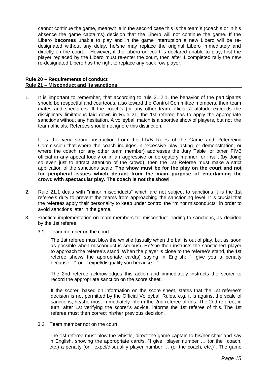cannot continue the game, meanwhile in the second case this is the team's (coach's or in his absence the game captain's) decision that the Libero will not continue the game. If the Libero **becomes** unable to play and in the game interruption a new Libero will be redesignated without any delay, he/she may replace the original Libero immediately and directly on the court. However, if the Libero on court is declared unable to play, first the player replaced by the Libero must re-enter the court, then after 1 completed rally the new re-designated Libero has the right to replace any back row player.

#### **Rule 20 – Requirements of conduct Rule 21 – Misconduct and its sanctions**

1. It is important to remember, that according to rule 21.2.1, the behavior of the participants should be respectful and courteous, also toward the Control Committee members, their team mates and spectators. If the coach's (or any other team official's) attitude exceeds the disciplinary limitations laid down in Rule 21, the 1st referee has to apply the appropriate sanctions without any hesitation. A volleyball match is a sportive show of players, but not the team officials. Referees should not ignore this distinction.

It is the very strong instruction from the FIVB Rules of the Game and Refereeing Commission that where the coach indulges in excessive play acting or demonstration, or where the coach (or any other team member) addresses the Jury Table or other FIVB official in any appeal loudly or in an aggressive or derogatory manner, or insult (by doing so even just to attract attention of the crowd), then the 1st Referee must make a strict application of the sanctions scale. **The show must be for the play on the court and not for peripheral issues which detract from the main purpose of entertaining the crowd with spectacular play. The coach is not the show!**

- 2. Rule 21.1 deals with "minor misconducts" which are not subject to sanctions It is the 1st referee's duty to prevent the teams from approaching the sanctioning level. It is crucial that the referees apply their personality to keep under control the "minor misconducts" in order to avoid sanctions later in the game.
- 3. Practical implementation on team members for misconduct leading to sanctions, as decided by the 1st referee:
	- 3.1 Team member on the court:

The 1st referee must blow the whistle (usually when the ball is out of play, but as soon as possible when misconduct is serious). He/she then instructs the sanctioned player to approach the referee's stand. When the player is close to the referee's stand, the 1st referee shows the appropriate card(s) saying in English: "I give you a penalty because…" or "I expel/disqualify you because…".

The 2nd referee acknowledges this action and immediately instructs the scorer to record the appropriate sanction on the score sheet.

If the scorer, based on information on the score sheet, states that the 1st referee's decision is not permitted by the Official Volleyball Rules, e.g. it is against the scale of sanctions, he/she must immediately inform the 2nd referee of this. The 2nd referee, in turn, after 1st verifying the scorer's advice, informs the 1st referee of this. The 1st referee must then correct his/her previous decision.

3.2 Team member not on the court:

The 1st referee must blow the whistle, direct the game captain to his/her chair and say in English, showing the appropriate card/s, "I give player number … (or the coach, etc.) a penalty (or I expel/disqualify player number … (or the coach, etc.)". The game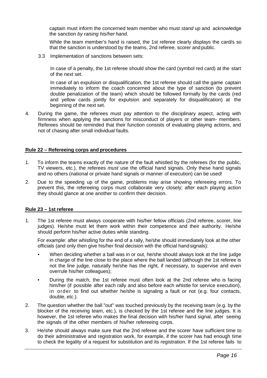captain must inform the concerned team member who must *stand up* and acknowledge the sanction *by raising his/her hand*.

While the team member's hand is raised, the 1st referee clearly displays the card/s so that the sanction is understood by the teams, 2nd referee, scorer and public.

3.3 Implementation of sanctions between sets:

In case of a penalty, the 1st referee should show the card (symbol red card) at the start of the next set.

In case of an expulsion or disqualification, the 1st referee should call the game captain immediately to inform the coach concerned about the type of sanction (to prevent double penalization of the team) which should be followed formally by the cards (red and yellow cards jointly for expulsion and separately for disqualification) at the beginning of the next set.

4. During the game, the referees must pay attention to the disciplinary aspect, acting with firmness when applying the sanctions for misconduct of players or other team- members. Referees should be reminded that their function consists of evaluating playing actions, and not of chasing after small individual faults.

#### **Rule 22 – Refereeing corps and procedures**

- 1. To inform the teams exactly of the nature of the fault whistled by the referees (for the public, TV viewers, etc.), the referees *must* use the official hand signals. Only these hand signals and no others (national or private hand signals or manner of execution) can be used!
- 2. Due to the speeding up of the game, problems may arise showing refereeing errors. To prevent this, the refereeing corps must collaborate very closely; after each playing action they should glance at one another to confirm their decision.

#### **Rule 23 – 1st referee**

1. The 1st referee must always cooperate with his/her fellow officials (2nd referee, scorer, line judges). He/she must let them work within their competence and their authority. He/she should perform his/her active duties while standing.

For example: after whistling for the end of a rally, he/she should immediately look at the other officials (and only then give his/her final decision with the official handsignals):

- When deciding whether a ball was in or out, he/she should always look at the line judge in charge of the line close to the place where the ball landed (although the 1st referee is not the line judge, naturally he/she has the right, if necessary, to supervise and even overrule his/her colleagues);
- During the match, the 1st referee must often look at the 2nd referee who is facing him/her (if possible after each rally and also before each whistle for service execution), in order to find out whether he/she is signaling a fault or not (e.g. four contacts, double, etc.).
- 2. The question whether the ball "out" was touched previously by the receiving team (e.g. by the blocker of the receiving team, etc.), is checked by the 1st referee and the line judges. It is however, the 1st referee who makes the final decision with his/her hand signal, after seeing the signals of the other members of his/her refereeing corps.
- 3. He/she should always make sure that the 2nd referee and the scorer have sufficient time to do their administrative and registration work, for example, if the scorer has had enough time to check the legality of a request for substitution and its registration. If the 1st referee fails to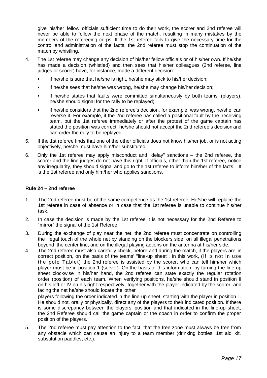give his/her fellow officials sufficient time to do their work, the scorer and 2nd referee will never be able to follow the next phase of the match, resulting in many mistakes by the members of the refereeing corps. If the 1st referee fails to give the necessary time for the control and administration of the facts, the 2nd referee must stop the continuation of the match by whistling.

- 4. The 1st referee may change any decision of his/her fellow officials or of his/her own. If he/she has made a decision (whistled) and then sees that his/her colleagues (2nd referee, line judges or scorer) have, for instance, made a different decision:
	- if he/she is sure that he/she is right, he/she may stick to his/her decision;
	- if he/she sees that he/she was wrong, he/she may change his/her decision;
	- if he/she states that faults were committed simultaneously by both teams (players), he/she should signal for the rally to be replayed;
	- if he/she considers that the 2nd referee's decision, for example, was wrong, he/she can reverse it. For example, if the 2nd referee has called a positional fault by the receiving team, but the 1st referee immediately or after the protest of the game captain has stated the position was correct, he/she should not accept the 2nd referee's decision and can order the rally to be replayed.
- 5. If the 1st referee finds that one of the other officials does not know his/her job, or is not acting objectively, he/she must have him/her substituted.
- 6. Only the 1st referee may apply misconduct and "delay" sanctions the 2nd referee, the scorer and the line judges do not have this right. If officials, other than the 1st referee, notice any irregularity, they should signal and go to the 1st referee to inform him/her of the facts. It is the 1st referee and only him/her who applies sanctions.

## **Rule 24 – 2nd referee**

- 1. The 2nd referee must be of the same competence as the 1st referee. He/she will replace the 1st referee in case of absence or in case that the 1st referee is unable to continue his/her task.
- 2. In case the decision is made by the 1st referee it is not necessary for the 2nd Referee to "mirror" the signal of the 1st Referee.
- 3. During the exchange of play near the net, the 2nd referee must concentrate on controlling the illegal touch of the whole net by standing on the blockers side, on all illegal penetrations beyond the center line, and on the illegal playing actions on the antenna at his/her side.
- 4. The 2nd referee must also carefully check, before and during the match, if the players are in correct position, on the basis of the teams' "line-up sheet". In this work, (if is not in use the pole Tablet) the 2nd referee is assisted by the scorer, who can tell him/her which player must be in position 1 (server). On the basis of this information, by turning the line-up sheet clockwise in his/her hand, the 2nd referee can state exactly the regular rotation order (position) of each team. When verifying positions, he/she should stand in position II on his left or IV on his right respectively, together with the player indicated by the scorer, and facing the net he/she should locate the other

players following the order indicated in the line-up sheet, starting with the player in position I. He should not, orally or physically, direct any of the players to their indicated position. If there is some discrepancy between the players' position and that indicated in the line-up sheet, the 2nd Referee should call the game captain or the coach in order to confirm the proper position of the players.

5. The 2nd referee must pay attention to the fact, that the free zone must always be free from any obstacle which can cause an injury to a team member (drinking bottles, 1st aid kit, substitution paddles, etc.).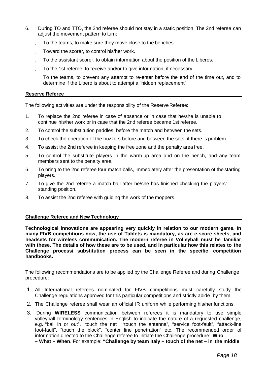- 6. During TO and TTO, the 2nd referee should not stay in a static position. The 2nd referee can adiust the movement pattern to turn:
	- To the teams, to make sure they move close to the benches.
	- Toward the scorer, to control his/her work.
	- To the assistant scorer, to obtain information about the position of the Liberos.
	- To the 1st referee, to receive and/or to give information, if necessary.
	- To the teams, to prevent any attempt to re-enter before the end of the time out, and to determine if the Libero is about to attempt a "hidden replacement"

#### **Reserve Referee**

The following activities are under the responsibility of the Reserve Referee:

- 1. To replace the 2nd referee in case of absence or in case that he/she is unable to continue his/her work or in case that the 2nd referee became 1st referee.
- 2. To control the substitution paddles, before the match and between the sets.
- 3. To check the operation of the buzzers before and between the sets, if there is problem.
- 4. To assist the 2nd referee in keeping the free zone and the penalty area free.
- 5. To control the substitute players in the warm-up area and on the bench, and any team members sent to the penalty area.
- 6. To bring to the 2nd referee four match balls, immediately after the presentation of the starting players.
- 7. To give the 2nd referee a match ball after he/she has finished checking the players' standing position.
- 8. To assist the 2nd referee with guiding the work of the moppers.

#### **Challenge Referee and New Technology**

**Technological innovations are appearing very quickly in relation to our modern game. In many FIVB competitions now, the use of Tablets is mandatory, as are e-score sheets, and headsets for wireless communication. The modern referee in Volleyball must be familiar with these. The details of how these are to be used, and in particular how this relates to the Challenge process/ substitution process can be seen in the specific competition handbooks.**

The following recommendations are to be applied by the Challenge Referee and during Challenge procedure:

- 1. All International referees nominated for FIVB competitions must carefully study the Challenge regulations approved for this particular competitions and strictly abide by them.
- 2. The Challenge referee shall wear an official IR uniform while performing his/her functions.
- 3. During **WIRELESS** communication between referees it is mandatory to use simple volleyball terminology sentences in English to indicate the nature of a requested challenge, e.g. "ball in or out", "touch the net", "touch the antenna", "service foot-fault", "attack-line foot-fault", "touch the block", "center line penetration" etc. The recommended order of information directed to the Challenge referee to initiate the Challenge procedure: **Who**

**– What – When**. For example: **"Challenge by team Italy – touch of the net – in the middle**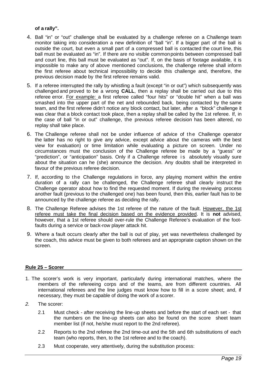## **of a rally".**

- 4. Ball "in" or "out" challenge shall be evaluated by a challenge referee on a Challenge team monitor taking into consideration a new definition of "ball "in". If a bigger part of the ball is outside the court, but even a small part of a compressed ball is contacted the court line, this ball must be evaluated as "in". If there are no visible commonpoints between compressed ball and court line, this ball must be evaluated as "out". If, on the basis of footage available, it is impossible to make any of above mentioned conclusions, the challenge referee shall inform the first referee about technical impossibility to decide this challenge and, therefore, the previous decision made by the first referee remains valid.
- 5. If a referee interrupted the rally by whistling a fault (except "in or out") which subsequently was challenged and proved to be a wrong **CALL**, then a replay shall be carried out due to this referee error. For example: a first referee called "four hits" or "double hit" when a ball was smashed into the upper part of the net and rebounded back, being contacted by the same team, and the first referee didn't notice any block contact, but later, after a "block" challenge it was clear that a block contact took place, then a replay shall be called by the 1st referee. If, in the case of ball "in or out" challenge, the previous referee decision has been altered, no replay shall take place.
- 6. The Challenge referee shall not be under influence of advice of the Challenge operator the latter has no right to give any advice, except advice about the cameras with the best view for evaluation) or time limitation while evaluating a picture on screen. Under no circumstances must the conclusion of the Challenge referee be made by a "guess" or "prediction", or "anticipation" basis. Only if a Challenge referee is absolutely visually sure about the situation can he (she) announce the decision. Any doubts shall be interpreted in favour of the previous referee decision.
- 7. If, according to the Challenge regulations in force, any playing moment within the entire duration of a rally can be challenged, the Challenge referee shall clearly instruct the Challenge operator about how to find the requested moment. If during the reviewing process another fault (previous to the challenged one) has been found, then this, earlier fault has to be announced by the challenge referee as deciding the rally.
- 8. The Challenge Referee advises the 1st referee of the nature of the fault. However, the 1st referee must take the final decision based on the evidence provided. It is **not** advised, however, that a 1st referee should over-rule the Challenge Referee's evaluation of the footfaults during a service or back-row player attack hit.
- 9. Where a fault occurs clearly after the ball is out of play, yet was nevertheless challenged by the coach, this advice must be given to both referees and an appropriate caption shown on the screen.

## **Rule 25 – Scorer**

- 1. The scorer's work is very important, particularly during international matches, where the members of the refereeing corps and of the teams, are from different countries. All international referees and the line judges must know how to fill in a score sheet; and, if necessary, they must be capable of doing the work of a scorer.
- *2.* The scorer:
	- 2.1 Must check after receiving the line-up sheets and before the start of each set that the numbers on the line-up sheets can also be found on the score sheet team member list (if not, he/she must report to the 2nd referee).
	- 2.2 Reports to the 2nd referee the 2nd time-out and the 5th and 6th substitutions of each team (who reports, then, to the 1st referee and to the coach).
	- 2.3 Must cooperate, very attentively, during the substitution process: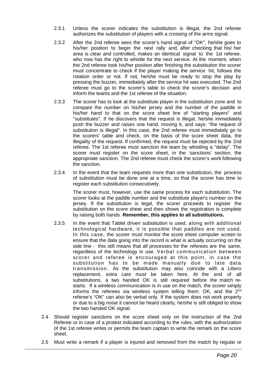- 2.3.1 Unless the scorer indicates the substitution is illegal, the 2nd referee authorizes the substitution of players with a crossing of the arms signal.
- 2.3.2 After the 2nd referee sees the scorer's hand signal of "OK", he/she goes to his/her position to begin the next rally and, after checking that his/ her area is clear and controlled, makes an identical signal to the 1st referee, who now has the right to whistle for the next service. At the moment, when the 2nd referee took his/her position after finishing the substitution the scorer must concentrate to check if the player making the service hit, follows the rotation order or not. If not, he/she must be ready to stop the play by pressing the buzzer, immediately after the service hit was executed. The 2nd referee must go to the scorer's table to check the scorer's decision and inform the teams and the 1st referee of the situation.
- 2.3.3 The scorer has to look at the substitute player in the substitution zone and to compare the number on his/her jersey and the number of the paddle in his/her hand to that on the score sheet line of "starting players" and "substitutes". If he discovers that the request is illegal, he/she immediately push the buzzer and raises one hand, moving it, and says: "the request of substitution is illegal". In this case, the 2nd referee must immediately go to the scorers' table and check, on the basis of the score sheet data, the illegality of the request. If confirmed, the request must be rejected by the 2nd referee. The 1st referee must sanction the team by whistling a "delay". The scorer must register on the score sheet, in the 'sanctions' section, the appropriate sanction. The 2nd referee must check the scorer's work following the sanction.
- 2.3.4 In the event that the team requests more than one substitution, the process of substitution must be done one at a time, so that the scorer has time to register each substitution consecutively.

The scorer must, however, use the same process for each substitution. The scorer looks at the paddle number and the substitute player's number on the jersey. If the substitution is legal, the scorer proceeds to register the substitution on the score sheet and then shows the registration is complete by raising both hands. **Remember, this applies to all substitutions.**

- 2.3.5 In the event that Tablet driven substitution is used, along with additional technological hardware, it is possible that paddles are not used. In this case, the scorer must monitor the score sheet computer screen to ensure that the data going into the record is what is actually occurring on the side line - this still means that all processes for the referees are the same, regardless of the technology in use. Verbal communication between scorer and referee is encouraged at this point, in case the substitution has to be made manually due to late data transmission. As the substitution may also coincide with a Libero replacement, extra care must be taken here. At the end of all substitutions, a two handed OK is still required before the match restarts. If a wireless communication is in use on the match, the scorer simply informs the referees via wireless system telling them: OK, and the 2<sup>nd</sup> referee's "OK" can also be verbal only. If the system does not work properly or due to a big noise it cannot be heard clearly, he/she is still obliged to show the two handed OK signal.
- 2.4 Should register sanctions on the score sheet only on the instruction of the 2nd Referee or in case of a protest indicated according to the rules, with the authorization of the 1st referee writes or permits the team captain to write the remark on the score sheet.
- 2.5 Must write a remark if a player is injured and removed from the match by regular or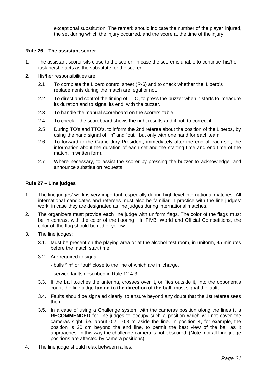exceptional substitution. The remark should indicate the number of the player injured, the set during which the injury occurred, and the score at the time of the injury.

#### **Rule 26 – The assistant scorer**

- 1. The assistant scorer sits close to the scorer. In case the scorer is unable to continue his/her task he/she acts as the substitute for the scorer.
- 2. His/her responsibilities are:
	- 2.1 To complete the Libero control sheet (R-6) and to check whether the Libero's replacements during the match are legal or not.
	- 2.2 To direct and control the timing of TTO, to press the buzzer when it starts to measure its duration and to signal its end, with the buzzer.
	- 2.3 To handle the manual scoreboard on the scorers' table.
	- 2.4 To check if the scoreboard shows the right results and if not, to correct it.
	- 2.5 During TO's and TTO's, to inform the 2nd referee about the position of the Liberos, by using the hand signal of "in" and "out", but only with one hand for each team.
	- 2.6 To forward to the Game Jury President, immediately after the end of each set, the information about the duration of each set and the starting time and end time of the match, in written form.
	- 2.7 Where necessary, to assist the scorer by pressing the buzzer to acknowledge and announce substitution requests.

#### **Rule 27 – Line judges**

- 1. The line judges' work is very important, especially during high level international matches. All international candidates and referees must also be familiar in practice with the line judges' work, in case they are designated as line judges during international matches.
- 2. The organizers must provide each line judge with uniform flags. The color of the flags must be in contrast with the color of the flooring. In FIVB, World and Official Competitions, the color of the flag should be red or yellow.
- 3. The line judges:
	- 3.1. Must be present on the playing area or at the alcohol test room, in uniform, 45 minutes before the match start time.
	- 3.2. Are required to signal
		- balls "in" or "out" close to the line of which are in charge,
		- service faults described in Rule 12.4.3.
	- 3.3. If the ball touches the antenna, crosses over it, or flies outside it, into the opponent's court, the line judge **facing to the direction of the ball**, must signal the fault,
	- 3.4. Faults should be signaled clearly, to ensure beyond any doubt that the 1st referee sees them.
	- 3.5. In a case of using a Challenge system with the cameras position along the lines it is **RECOMMENDED** for line-judges to occupy such a position which will not cover the cameras sight, i.e. about 0,2 - 0,3 m aside the line. In position 4, for example, the position is 20 cm beyond the end line, to permit the best view of the ball as it approaches. In this way the challenge camera is not obscured. (Note: not all Line judge positions are affected by camera positions).
- 4. The line judge should relax between rallies.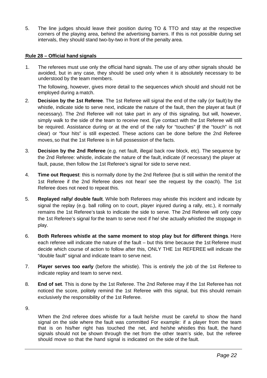5. The line judges should leave their position during TO & TTO and stay at the respective corners of the playing area, behind the advertising barriers. If this is not possible during set intervals, they should stand two-by-two in front of the penalty area.

## **Rule 28 – Official hand signals**

1. The referees must use only the official hand signals. The use of any other signals should be avoided, but in any case, they should be used only when it is absolutely necessary to be understood by the team members.

The following, however, gives more detail to the sequences which should and should not be employed during a match.

- 2. **Decision by the 1st Referee**. The 1st Referee will signal the end of the rally (or fault) by the whistle, indicate side to serve next, indicate the nature of the fault, then the player at fault (if necessary). The 2nd Referee will not take part in any of this signaling, but will, however, simply walk to the side of the team to receive next. Eye contact with the 1st Referee will still be required. Assistance during or at the end of the rally for "touches" (if the "touch" is not clear) or "four hits" is still expected. These actions can be done before the 2nd Referee moves, so that the 1st Referee is in full possession of the facts.
- 3. **Decision by the 2nd Referee** (e.g. net fault, illegal back row block, etc). The sequence by the 2nd Referee: whistle, indicate the nature of the fault, indicate (if necessary) the player at fault, pause, then follow the 1st Referee's signal for side to serve next.
- 4. **Time out Request**: this is normally done by the 2nd Referee (but is still within the remitof the 1st Referee if the 2nd Referee does not hear/ see the request by the coach). The 1st Referee does not need to repeat this.
- 5. **Replayed rally/ double fault**. While both Referees may whistle this incident and indicate by signal the replay (e.g. ball rolling on to court, player injured during a rally, etc.), it normally remains the 1st Referee's task to indicate the side to serve. The 2nd Referee will only copy the 1st Referee's signal for the team to serve next if he/ she actually whistled the stoppage in play.
- 6. **Both Referees whistle at the same moment to stop play but for different things**. Here each referee will indicate the nature of the fault – but this time because the 1st Referee must decide which course of action to follow after this, ONLY THE 1st REFEREE will indicate the "double fault" signal and indicate team to serve next.
- 7. **Player serves too early** (before the whistle). This is entirely the job of the 1st Referee to indicate replay and team to serve next.
- 8. **End of set**. This is done by the 1st Referee. The 2nd Referee may if the 1st Referee has not noticed the score, politely remind the 1st Referee with this signal, but this should remain exclusively the responsibility of the 1st Referee.
- 9.

When the 2nd referee does whistle for a fault he/she must be careful to show the hand signal on the side where the fault was committed For example: if a player from the team that is on his/her right has touched the net, and he/she whistles this fault, the hand signals should not be shown through the net from the other team's side, but the referee should move so that the hand signal is indicated on the side of the fault.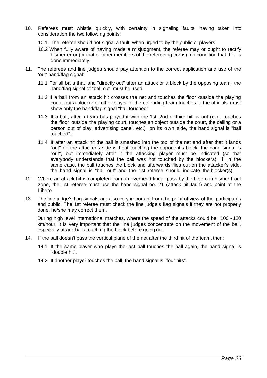- 10. Referees must whistle quickly, with certainty in signaling faults, having taken into consideration the two following points:
	- 10.1. The referee should not signal a fault, when urged to by the public or players.
	- 10.2 When fully aware of having made a misjudgment, the referee may or ought to rectify his/her error (or that of other members of the refereeing corps), on condition that this is done immediately.
- 11. The referees and line judges should pay attention to the correct application and use of the 'out' hand/flag signal:
	- 11.1.For all balls that land "directly out" after an attack or a block by the opposing team, the hand/flag signal of "ball out" must be used.
	- 11.2.If a ball from an attack hit crosses the net and touches the floor outside the playing court, but a blocker or other player of the defending team touches it, the officials must show only the hand/flag signal "ball touched".
	- 11.3 If a ball, after a team has played it with the 1st, 2nd or third hit, is out (e.g. touches the floor outside the playing court, touches an object outside the court, the ceiling or a person out of play, advertising panel, etc.) on its own side, the hand signal is "ball touched".
	- 11.4 If after an attack hit the ball is smashed into the top of the net and after that it lands "out" on the attacker's side without touching the opponent's block, the hand signal is "out", but immediately after it the attacking player must be indicated (so that everybody understands that the ball was not touched by the blockers). If, in the same case, the ball touches the block and afterwards flies out on the attacker's side, the hand signal is "ball out" and the 1st referee should indicate the blocker(s).
- 12. Where an attack hit is completed from an overhead finger pass by the Libero in his/her front zone, the 1st referee must use the hand signal no. 21 (attack hit fault) and point at the Libero.
- 13. The line judge's flag signals are also very important from the point of view of the participants and public. The 1st referee must check the line judge's flag signals if they are not properly done, he/she may correct them.

During high level international matches, where the speed of the attacks could be 100 - 120 km/hour, it is very important that the line judges concentrate on the movement of the ball, especially attack balls touching the block before going out.

- 14. If the ball doesn't pass the vertical plane of the net after the third hit of the team, then:
	- 14.1 If the same player who plays the last ball touches the ball again, the hand signal is "double hit".
	- 14.2 If another player touches the ball, the hand signal is "four hits".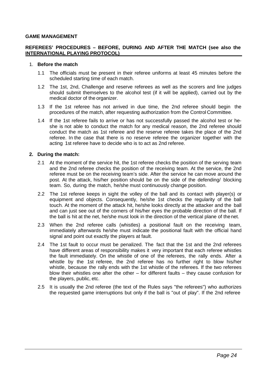#### **GAME MANAGEMENT**

## **REFEREES' PROCEDURES – BEFORE, DURING AND AFTER THE MATCH (see also the INTERNATIONAL PLAYING PROTOCOL)**

#### 1. **Before the match**

- 1.1 The officials must be present in their referee uniforms at least 45 minutes before the scheduled starting time of each match.
- 1.2 The 1st, 2nd, Challenge and reserve referees as well as the scorers and line judges should submit themselves to the alcohol test (if it will be applied), carried out by the medical doctor of the organizer.
- 1.3 If the 1st referee has not arrived in due time, the 2nd referee should begin the procedures of the match, after requesting authorization from the Control Committee.
- 1.4 If the 1st referee fails to arrive or has not successfully passed the alcohol test or heshe is not able to conduct the match for any medical reason, the 2nd referee should conduct the match as 1st referee and the reserve referee takes the place of the 2nd referee. In the case that there is no reserve referee the organizer together with the acting 1st referee have to decide who is to act as 2nd referee.

## **2. During the match:**

- 2.1 At the moment of the service hit, the 1st referee checks the position of the serving team and the 2nd referee checks the position of the receiving team. At the service, the 2nd referee must be on the receiving team's side. After the service he can move around the post. At the attack, his/her position should be on the side of the defending/ blocking team. So, during the match, he/she must continuously change position.
- 2.2 The 1st referee keeps in sight the volley of the ball and its contact with player(s) or equipment and objects. Consequently, he/she 1st checks the regularity of the ball touch. At the moment of the attack hit, he/she looks directly at the attacker and the ball and can just see out of the corners of his/her eyes the probable direction of the ball. If the ball is hit at the net, he/she must look in the direction of the vertical plane of thenet.
- 2.3 When the 2nd referee calls (whistles) a positional fault on the receiving team, immediately afterwards he/she must indicate the positional fault with the official hand signal and point out exactly the players at fault.
- 2.4 The 1st fault to occur must be penalized. The fact that the 1st and the 2nd referees have different areas of responsibility makes it very important that each referee whistles the fault immediately. On the whistle of one of the referees, the rally ends. After a whistle by the 1st referee, the 2nd referee has no further right to blow his/her whistle, because the rally ends with the 1st whistle of the referees. If the two referees blow their whistles one after the other – for different faults – they cause confusion for the players, public, etc.
- 2.5 It is usually the 2nd referee (the text of the Rules says "the referees") who authorizes the requested game interruptions but only if the ball is "out of play". If the 2nd referee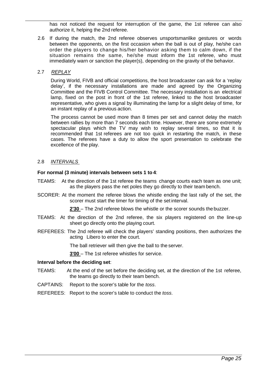has not noticed the request for interruption of the game, the 1st referee can also authorize it, helping the 2nd referee.

2.6 If during the match, the 2nd referee observes unsportsmanlike gestures or words between the opponents, on the first occasion when the ball is out of play, he/she can order the players to change his/her behavior asking them to calm down, if the situation remains the same, he/she must inform the 1st referee, who must immediately warn or sanction the player(s), depending on the gravity of the behavior.

## 2.7 *REPLAY*

During World, FIVB and official competitions, the host broadcaster can ask for a 'replay delay', if the necessary installations are made and agreed by the Organizing Committee and the FIVB Control Committee. The necessary installation is an electrical lamp, fixed on the post in front of the 1st referee, linked to the host broadcaster representative, who gives a signal by illuminating the lamp for a slight delay of time, for an instant replay of a previous action.

The process cannot be used more than 8 times per set and cannot delay the match between rallies by more than 7 seconds each time. However, there are some extremely spectacular plays which the TV may wish to replay several times, so that it is recommended that 1st referees are not too quick in restarting the match, in these cases. The referees have a duty to allow the sport presentation to celebrate the excellence of the play.

## 2.8 *INTERVALS*

## **For normal (3 minute) intervals between sets 1 to 4**:

- TEAMS: At the direction of the 1st referee the teams change courts each team as one unit; as the players pass the net poles they go directly to their team bench.
- SCORER: At the moment the referee blows the whistle ending the last rally of the set, the scorer must start the timer for timing of the set interval.

**2'30** – The 2nd referee blows the whistle or the scorer sounds the buzzer.

- TEAMS: At the direction of the 2nd referee, the six players registered on the line-up sheet go directly onto the playing court.
- REFEREES: The 2nd referee will check the players' standing positions, then authorizes the acting Libero to enter the court.

The ball retriever will then give the ball to the server.

**3'00** – The 1st referee whistles for service.

#### **Interval before the deciding set**:

- TEAMS: At the end of the set before the deciding set, at the direction of the 1st referee, the teams go directly to their team bench.
- CAPTAINS: Report to the scorer's table for the *toss*.
- REFEREES: Report to the scorer's table to conduct the *toss*.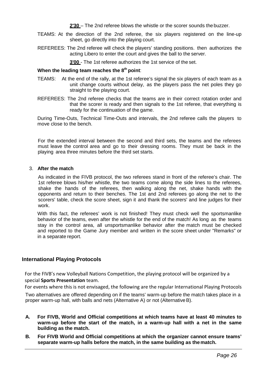**2'30** – The 2nd referee blows the whistle or the scorer sounds the buzzer.

- TEAMS: At the direction of the 2nd referee, the six players registered on the line-up sheet, go directly into the playing court.
- REFEREES: The 2nd referee will check the players' standing positions. then authorizes the acting Libero to enter the court and gives the ball to the server.

**3'00** - The 1st referee authorizes the 1st service of the set.

## **When the leading team reaches the 8<sup>th</sup> point:**

- TEAMS: At the end of the rally, at the 1st referee's signal the six players of each team as a unit change courts without delay, as the players pass the net poles they go straight to the playing court.
- REFEREES: The 2nd referee checks that the teams are in their correct rotation order and that the scorer is ready and then signals to the 1st referee, that everything is ready for the continuation of the game.

During Time-Outs, Technical Time-Outs and intervals, the 2nd referee calls the players to move close to the bench.

For the extended interval between the second and third sets, the teams and the referees must leave the control area and go to their dressing rooms. They must be back in the playing area three minutes before the third set starts.

## 3. **After the match**

As indicated in the FIVB protocol, the two referees stand in front of the referee's chair. The 1st referee blows his/her whistle, the two teams come along the side lines to the referees, shake the hands of the referees, then walking along the net, shake hands with the opponents and return to their benches. The 1st and 2nd referees go along the net to the scorers' table, check the score sheet, sign it and thank the scorers' and line judges for their work.

With this fact, the referees' work is not finished! They must check well the sportsmanlike behavior of the teams, even after the whistle for the end of the match! As long as the teams stay in the control area, all unsportsmanlike behavior after the match must be checked and reported to the Game Jury member and written in the score sheet under "Remarks" or in a separate report.

## **International Playing Protocols**

For the FIVB's new Volleyball Nations Competition, the playing protocol will be organized by a special **Sports Presentation** team.

For events where this is not envisaged, the following are the regular International Playing Protocols

Two alternatives are offered depending on if the teams' warm-up before the match takes place in a proper warm-up hall, with balls and nets (Alternative A) or not (AlternativeB).

- **A. For FIVB, World and Official competitions at which teams have at least 40 minutes to warm-up before the start of the match, in a warm-up hall with a net in the same building as the match.**
- **B. For FIVB World and Official competitions at which the organizer cannot ensure teams' separate warm-up halls before the match, in the same building as thematch.**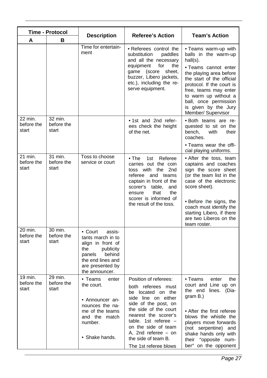| Time - Protocol                |                                |                                                                                                                                                                |                                                                                                                                                                                                                                                                                            | <b>Team's Action</b>                                                                                                                                                                                                                                                                             |  |  |
|--------------------------------|--------------------------------|----------------------------------------------------------------------------------------------------------------------------------------------------------------|--------------------------------------------------------------------------------------------------------------------------------------------------------------------------------------------------------------------------------------------------------------------------------------------|--------------------------------------------------------------------------------------------------------------------------------------------------------------------------------------------------------------------------------------------------------------------------------------------------|--|--|
| A                              | B                              | <b>Description</b>                                                                                                                                             | <b>Referee's Action</b>                                                                                                                                                                                                                                                                    |                                                                                                                                                                                                                                                                                                  |  |  |
|                                |                                | Time for entertain-<br>ment                                                                                                                                    | • Referees control the<br>substitution<br>paddles<br>and all the necessary<br>the<br>for<br>equipment<br>game (score<br>sheet,<br>buzzer, Libero jackets,<br>etc.), including the re-<br>serve equipment.                                                                                  | • Teams warm-up with<br>balls in the warm-up<br>$hall(s)$ .<br>· Teams cannot enter<br>the playing area before<br>the start of the official<br>protocol. If the court is<br>free, teams may enter<br>to warm up without a<br>ball, once permission<br>is given by the Jury<br>Member/ Supervisor |  |  |
| 22 min.<br>before the<br>start | 32 min.<br>before the<br>start |                                                                                                                                                                | . 1st and 2nd refer-<br>ees check the height<br>of the net.                                                                                                                                                                                                                                | · Both teams are re-<br>quested to sit on the<br>bench,<br>with<br>their<br>coaches.<br>• Teams wear the offi-<br>cial playing uniforms.                                                                                                                                                         |  |  |
| 21 min.<br>before the<br>start | 31 min.<br>before the<br>start | Toss to choose<br>service or court                                                                                                                             | $\bullet$ The<br>1st<br>Referee<br>carries out the coin<br>toss with<br>the<br>2nd<br>referee<br>and teams<br>captain in front of the<br>scorer's table,<br>and<br>that<br>the<br>ensure<br>scorer is informed of<br>the result of the toss.                                               | • After the toss, team<br>captains and coaches<br>sign the score sheet<br>(or the team list in the<br>case of the electronic<br>score sheet).<br>· Before the signs, the<br>coach must identify the<br>starting Libero, if there<br>are two Liberos on the<br>team roster.                       |  |  |
| 20 min.<br>before the<br>start | 30 min.<br>before the<br>start | • Court<br>assis-<br>tants march in to<br>align in front of<br>publicity<br>the<br>behind<br>panels<br>the end lines and<br>are presented by<br>the announcer. |                                                                                                                                                                                                                                                                                            |                                                                                                                                                                                                                                                                                                  |  |  |
| 19 min.<br>before the<br>start | 29 min.<br>before the<br>start | • Teams<br>enter<br>the court.<br>• Announcer an-<br>nounces the na-<br>me of the teams<br>and the match<br>number.<br>• Shake hands.                          | Position of referees:<br>both referees must<br>be located on the<br>side line on either<br>side of the post, on<br>the side of the court<br>nearest the scorer's<br>table. 1st referee $-$<br>on the side of team<br>A, 2nd referee $-$ on<br>the side of team B.<br>The 1st referee blows | • Teams<br>enter<br>the<br>court and Line up on<br>the end<br>lines. (Dia-<br>gram B.)<br>• After the first referee<br>blows the whistle the<br>players move forwards<br>(not serpentine) and<br>shake hands only with<br>their "opposite num-<br>ber" on the opponent                           |  |  |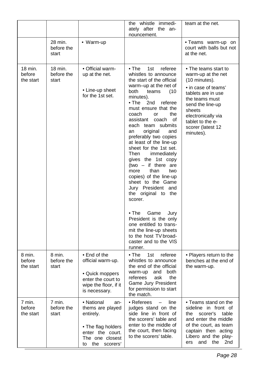|                                |                                |                                                                                                                                          | the whistle immedi-<br>ately after the an-<br>nouncement.                                                                                                                                                                                                                                                                                                                                                                                                                                                                                                                                                                                                                                                                                                            | team at the net.                                                                                                                                                                                                                     |  |
|--------------------------------|--------------------------------|------------------------------------------------------------------------------------------------------------------------------------------|----------------------------------------------------------------------------------------------------------------------------------------------------------------------------------------------------------------------------------------------------------------------------------------------------------------------------------------------------------------------------------------------------------------------------------------------------------------------------------------------------------------------------------------------------------------------------------------------------------------------------------------------------------------------------------------------------------------------------------------------------------------------|--------------------------------------------------------------------------------------------------------------------------------------------------------------------------------------------------------------------------------------|--|
|                                | 28 min.<br>before the<br>start | • Warm-up                                                                                                                                |                                                                                                                                                                                                                                                                                                                                                                                                                                                                                                                                                                                                                                                                                                                                                                      | • Teams warm-up on<br>court with balls but not<br>at the net.                                                                                                                                                                        |  |
| 18 min.<br>before<br>the start | 18 min.<br>before the<br>start | • Official warm-<br>up at the net.<br>• Line-up sheet<br>for the 1st set.                                                                | $\bullet$ The<br>1st<br>referee<br>whistles to announce<br>the start of the official<br>warm-up at the net of<br>both<br>(10)<br>teams<br>minutes).<br>$\bullet$ The<br>2nd<br>referee<br>must ensure that the<br>the<br>coach<br><b>or</b><br>assistant<br>coach of<br>each team submits<br>original<br>and<br>an<br>preferably two copies<br>at least of the line-up<br>sheet for the 1st set.<br>Then<br>immediately<br>gives the 1st copy<br>(two $-$ if there are<br>than<br>more<br>two<br>copies) of the line-up<br>sheet to the Game<br>Jury President and<br>the original to the<br>scorer.<br>$\bullet$ The<br>Game<br>Jury<br>President is the only<br>one entitled to trans-<br>mit the line-up sheets<br>to the host TV broad-<br>caster and to the VIS | • The teams start to<br>warm-up at the net<br>(10 minutes).<br>• in case of teams'<br>tablets are in use<br>the teams must<br>send the line-up<br>sheets<br>electronically via<br>tablet to the e-<br>scorer (latest 12<br>minutes). |  |
| 8 min.<br>before<br>the start  | 8 min.<br>before the<br>start  | • End of the<br>official warm-up.<br>• Quick moppers<br>enter the court to<br>wipe the floor, if it<br>is necessary.                     | runner.<br>$\bullet$ The<br>1st<br>referee<br>whistles to announce<br>the end of the official<br>both<br>warm-up<br>and<br>referees<br>ask<br>the<br>Game Jury President<br>for permission to start<br>the match.                                                                                                                                                                                                                                                                                                                                                                                                                                                                                                                                                    | • Players return to the<br>benches at the end of<br>the warm-up.                                                                                                                                                                     |  |
| 7 min.<br>before<br>the start  | 7 min.<br>before the<br>start  | • National<br>an-<br>thems are played<br>entirely.<br>• The flag holders<br>enter the court.<br>The one closest<br>the<br>scorers'<br>to | • Referees<br>line<br>judges stand on the<br>side line in front of<br>the scorers' table and<br>enter to the middle of<br>the court, then facing<br>to the scorers' table.                                                                                                                                                                                                                                                                                                                                                                                                                                                                                                                                                                                           | • Teams stand on the<br>sideline in front of<br>scorer's<br>table<br>the<br>and enter the middle<br>of the court, as team<br>captain then acting<br>Libero and the play-<br>the<br>and<br>2nd<br>ers                                 |  |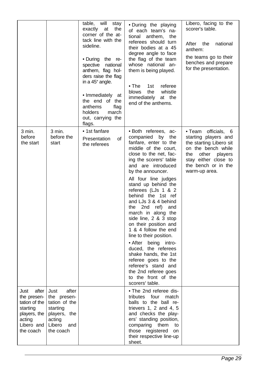|                                                                                                                |                                                                                                                   | table, will<br>stay<br>exactly at<br>the<br>corner of the at-<br>tack line with the<br>sideline.<br>• During<br>the re-<br>spective national<br>anthem, flag hol-<br>ders raise the flag<br>in a 45° angle.<br>• Immediately<br>at<br>the end<br>of the<br>anthems<br>flag<br>holders<br>march<br>out, carrying the<br>flags. | • During the playing<br>of each team's na-<br>tional<br>anthem,<br>the<br>referees should turn<br>their bodies at a 45<br>degree angle to face<br>the flag of the team<br>whose national an-<br>them is being played.<br>$\bullet$ The<br>1st<br>referee<br>the<br>whistle<br>blows<br>immediately<br>at the<br>end of the anthems.                                                                                                                                                                                                                                                                                                                               | Libero, facing to the<br>scorer's table.<br>After the<br>national<br>anthem:<br>the teams go to their<br>benches and prepare<br>for the presentation.                                   |
|----------------------------------------------------------------------------------------------------------------|-------------------------------------------------------------------------------------------------------------------|-------------------------------------------------------------------------------------------------------------------------------------------------------------------------------------------------------------------------------------------------------------------------------------------------------------------------------|-------------------------------------------------------------------------------------------------------------------------------------------------------------------------------------------------------------------------------------------------------------------------------------------------------------------------------------------------------------------------------------------------------------------------------------------------------------------------------------------------------------------------------------------------------------------------------------------------------------------------------------------------------------------|-----------------------------------------------------------------------------------------------------------------------------------------------------------------------------------------|
| 3 min.<br>before<br>the start                                                                                  | 3 min.<br>before the<br>start                                                                                     | • 1st fanfare<br>of<br>Presentation<br>the referees                                                                                                                                                                                                                                                                           | • Both referees, ac-<br>companied by<br>the<br>fanfare, enter to the<br>middle of the court,<br>close to the net, fac-<br>ing the scorers' table<br>and are introduced<br>by the announcer.<br>All four line judges<br>stand up behind the<br>referees (LJs 1 & 2<br>behind the 1st ref<br>and LJs 3 & 4 behind<br>2nd<br>ref)<br>the<br>and<br>march in along the<br>side line, 2 & 3 stop<br>on their position and<br>1 & 4 follow the end<br>line to their position.<br>• After being<br>intro-<br>duced, the referees<br>shake hands, the 1st<br>referee goes to the<br>referee's stand and<br>the 2nd referee goes<br>to the front of the<br>scorers' table. | · Team officials, 6<br>starting players and<br>the starting Libero sit<br>on the bench while<br>other<br>the<br>players<br>stay either close to<br>the bench or in the<br>warm-up area. |
| after<br>Just<br>the presen-<br>tation of the<br>starting<br>players, the<br>acting<br>Libero and<br>the coach | after<br>Just<br>the presen-<br>tation of the<br>starting<br>players, the<br>acting<br>Libero<br>and<br>the coach |                                                                                                                                                                                                                                                                                                                               | • The 2nd referee dis-<br>four<br>tributes<br>match<br>balls to the ball re-<br>trievers $1, 2$ and $4, 5$<br>and checks the play-<br>ers' standing position,<br>comparing them<br>to<br>those registered<br>on<br>their respective line-up<br>sheet.                                                                                                                                                                                                                                                                                                                                                                                                             |                                                                                                                                                                                         |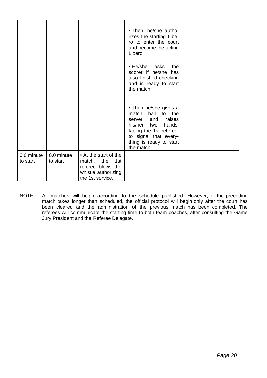|                        |                        |                                                                                                            | • Then, he/she autho-<br>rizes the starting Libe-<br>ro to enter the court<br>and become the acting<br>Libero.                                                                                    |  |
|------------------------|------------------------|------------------------------------------------------------------------------------------------------------|---------------------------------------------------------------------------------------------------------------------------------------------------------------------------------------------------|--|
|                        |                        |                                                                                                            | • He/she asks<br>the<br>scorer if he/she<br>has<br>also finished checking<br>and is ready to start<br>the match.                                                                                  |  |
|                        |                        |                                                                                                            | • Then he/she gives a<br>ball<br>match<br>to the<br>raises<br>and<br>server<br>his/her two<br>hands,<br>facing the 1st referee,<br>to signal that every-<br>thing is ready to start<br>the match. |  |
| 0.0 minute<br>to start | 0.0 minute<br>to start | • At the start of the<br>match, the<br>1st<br>referee blows the<br>whistle authorizing<br>the 1st service. |                                                                                                                                                                                                   |  |

NOTE: All matches will begin according to the schedule published. However, if the preceding match takes longer than scheduled, the official protocol will begin only after the court has been cleared and the administration of the previous match has been completed. The referees will communicate the starting time to both team coaches, after consulting the Game Jury President and the Referee Delegate.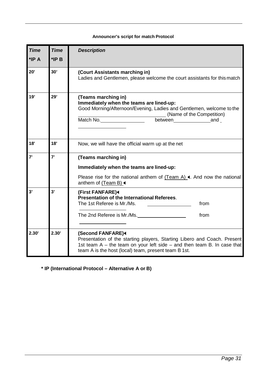## **Announcer's script for match Protocol**

| <b>Time</b><br>*IP A | <b>Time</b><br>$*IPB$ | <b>Description</b>                                                                                                                                                                                                                 |
|----------------------|-----------------------|------------------------------------------------------------------------------------------------------------------------------------------------------------------------------------------------------------------------------------|
| 20'                  | 30'                   | (Court Assistants marching in)<br>Ladies and Gentlemen, please welcome the court assistants for this match                                                                                                                         |
| 19'                  | 29'                   | (Teams marching in)<br>Immediately when the teams are lined-up:<br>Good Morning/Afternoon/Evening, Ladies and Gentlemen, welcome to the<br>(Name of the Competition)<br>Match No.                                                  |
| 18'                  | 18'                   | Now, we will have the official warm up at the net                                                                                                                                                                                  |
| 7'                   | 7'                    | (Teams marching in)<br>Immediately when the teams are lined-up:<br>Please rise for the national anthem of $(Team A)$ . And now the national<br>anthem of (Team B) <                                                                |
| 3'                   | 3'                    | (First FANFARE)<br>Presentation of the International Referees.<br>The 1st Referee is Mr./Ms.<br>from<br>from<br>The 2nd Referee is Mr./Ms.                                                                                         |
| 2.30'                | 2.30'                 | (Second FANFARE)4<br>Presentation of the starting players, Starting Libero and Coach. Present<br>1st team $A$ – the team on your left side – and then team B. In case that<br>team A is the host (local) team, present team B 1st. |

**\* IP (International Protocol – Alternative A or B)**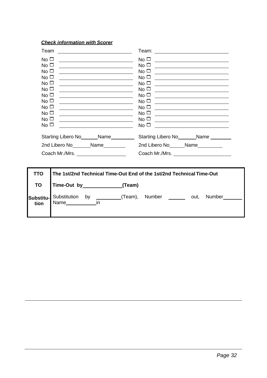# *Check information with Scorer*

| Team                                                                                                                                                                             |                                                                                                                                                                                                                                                                                                                                                                                                                                                                                                                                                                                                                                                                                                                                 | Team:<br><u> 1989 - Jan Stein Stein, fransk politik (f. 1989)</u>                                                                                                                                                                                                                                                                                                                                                                                                                                                                                                                                                                                                                                                                                                                                                                                                                                                                                                                                                                                                                 |
|----------------------------------------------------------------------------------------------------------------------------------------------------------------------------------|---------------------------------------------------------------------------------------------------------------------------------------------------------------------------------------------------------------------------------------------------------------------------------------------------------------------------------------------------------------------------------------------------------------------------------------------------------------------------------------------------------------------------------------------------------------------------------------------------------------------------------------------------------------------------------------------------------------------------------|-----------------------------------------------------------------------------------------------------------------------------------------------------------------------------------------------------------------------------------------------------------------------------------------------------------------------------------------------------------------------------------------------------------------------------------------------------------------------------------------------------------------------------------------------------------------------------------------------------------------------------------------------------------------------------------------------------------------------------------------------------------------------------------------------------------------------------------------------------------------------------------------------------------------------------------------------------------------------------------------------------------------------------------------------------------------------------------|
| No $\square$<br>No $\Box$<br>No $\Box$<br>No $\square$<br>No $\square$<br>No $\Box$<br>No <sub>1</sub><br>No $\Box$<br>No $\Box$<br>No $\square$<br>No $\square$<br>No $\square$ | <u> 1989 - Johann Barbara, martin amerikan basar dan berasal dalam basa dalam basar dalam basar dalam basa dalam</u><br><u> 1989 - Johann Stoff, deutscher Stoffen und der Stoffen und der Stoffen und der Stoffen und der Stoffen und der</u><br><u> 1989 - Jan Barnett, fransk politiker (d. 1989)</u><br><u> 1989 - Johann Barnett, fransk politiker (d. 1989)</u><br><u> 1989 - Johann Stein, mars an t-Amerikaansk kommunister (</u><br><u> Alexandria (m. 1888)</u><br><u> 1989 - Johann Stoff, deutscher Stoffen und der Stoffen und der Stoffen und der Stoffen und der Stoffen und der </u><br><u> 1989 - Johann Barbara, martin amerikan personal (</u><br><u> Alexandria de la contrada de la contrada de la con</u> | No <sub>1</sub><br><u> 1980 - Andrea Station Barbara, amerikan per</u><br>No $\square$<br><u> 1980 - Antonio Alemania, presidente de la conte</u><br>No <sub>1</sub><br><u> 1989 - Andrea Barbara, poeta esperanto-poeta esperanto-poeta esperanto-poeta esperanto-poeta esperanto-poeta</u><br>No <sub>1</sub><br><u> 1989 - Andrea Brand, Amerikaansk politik (</u><br>No <sub>1</sub><br><u> Albanya (Albanya Albanya) albanyi da albanyi da albanyi da albanyi da albanyi da albanyi da albanyi da albany</u><br>No <sub>1</sub><br><u> 1989 - Johann Barbara, martin amerikan basar dan berasal dan berasal dalam basar dalam basar dalam basar dala</u><br>No $\square$<br><u> 1989 - Johann Stoff, fransk politik (d. 1989)</u><br>No <sub>1</sub><br><u> 1989 - Johann Stein, fransk kampens og det forskellige og det forskellige og det forskellige og det forskellig</u><br>No $\square$<br><u> 1989 - Johann Harry Barn, mars ar breist ar ymgyriad y breisinn a gynnas ym y gynnas y gynnas y gynnas y gyn</u><br>No <sub>1</sub><br>No $\square$<br>No <sub>1</sub> |
|                                                                                                                                                                                  | Starting Libero No_______Name_________                                                                                                                                                                                                                                                                                                                                                                                                                                                                                                                                                                                                                                                                                          | Starting Libero No<br>Name <u>Name</u>                                                                                                                                                                                                                                                                                                                                                                                                                                                                                                                                                                                                                                                                                                                                                                                                                                                                                                                                                                                                                                            |
|                                                                                                                                                                                  | 2nd Libero No Name                                                                                                                                                                                                                                                                                                                                                                                                                                                                                                                                                                                                                                                                                                              | 2nd Libero No <sub>______</sub> Name________                                                                                                                                                                                                                                                                                                                                                                                                                                                                                                                                                                                                                                                                                                                                                                                                                                                                                                                                                                                                                                      |
|                                                                                                                                                                                  |                                                                                                                                                                                                                                                                                                                                                                                                                                                                                                                                                                                                                                                                                                                                 |                                                                                                                                                                                                                                                                                                                                                                                                                                                                                                                                                                                                                                                                                                                                                                                                                                                                                                                                                                                                                                                                                   |
|                                                                                                                                                                                  |                                                                                                                                                                                                                                                                                                                                                                                                                                                                                                                                                                                                                                                                                                                                 |                                                                                                                                                                                                                                                                                                                                                                                                                                                                                                                                                                                                                                                                                                                                                                                                                                                                                                                                                                                                                                                                                   |
| TTO                                                                                                                                                                              |                                                                                                                                                                                                                                                                                                                                                                                                                                                                                                                                                                                                                                                                                                                                 | The 1st/2nd Technical Time-Out End of the 1st/2nd Technical Time-Out                                                                                                                                                                                                                                                                                                                                                                                                                                                                                                                                                                                                                                                                                                                                                                                                                                                                                                                                                                                                              |
| TO                                                                                                                                                                               | Time-Out by _____________________(Team)                                                                                                                                                                                                                                                                                                                                                                                                                                                                                                                                                                                                                                                                                         |                                                                                                                                                                                                                                                                                                                                                                                                                                                                                                                                                                                                                                                                                                                                                                                                                                                                                                                                                                                                                                                                                   |

|  |  | (Team), Number |  | out. | Number |
|--|--|----------------|--|------|--------|
|  |  |                |  |      |        |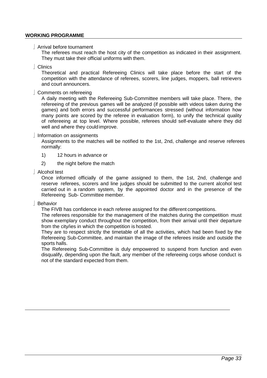## **WORKING PROGRAMME**

Arrival before tournament

The referees must reach the host city of the competition as indicated in their assignment. They must take their official uniforms with them.

Clinics

Theoretical and practical Refereeing Clinics will take place before the start of the competition with the attendance of referees, scorers, line judges, moppers, ball retrievers and court announcers.

Comments on refereeing

A daily meeting with the Refereeing Sub-Committee members will take place. There, the refereeing of the previous games will be analyzed (if possible with videos taken during the games) and both errors and successful performances stressed (without information how many points are scored by the referee in evaluation form), to unify the technical quality of refereeing at top level. Where possible, referees should self-evaluate where they did well and where they could improve.

#### $\vert$  Information on assignments

Assignments to the matches will be notified to the 1st, 2nd, challenge and reserve referees normally:

- 1) 12 hours in advance or
- 2) the night before the match
- Alcohol test

Once informed officially of the game assigned to them, the 1st, 2nd, challenge and reserve referees, scorers and line judges should be submitted to the current alcohol test carried out in a random system, by the appointed doctor and in the presence of the Refereeing Sub- Committee member.

Behavior

The FIVB has confidence in each referee assigned for the different competitions.

The referees responsible for the management of the matches during the competition must show exemplary conduct throughout the competition, from their arrival until their departure from the city/ies in which the competition is hosted.

They are to respect strictly the timetable of all the activities, which had been fixed by the Refereeing Sub-Committee, and maintain the image of the referees inside and outside the sports halls.

The Refereeing Sub-Committee is duly empowered to suspend from function and even disqualify, depending upon the fault, any member of the refereeing corps whose conduct is not of the standard expected from them.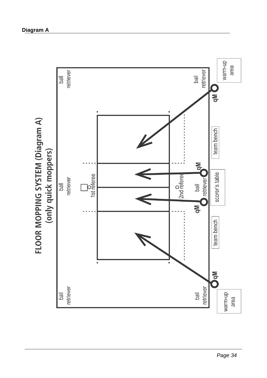